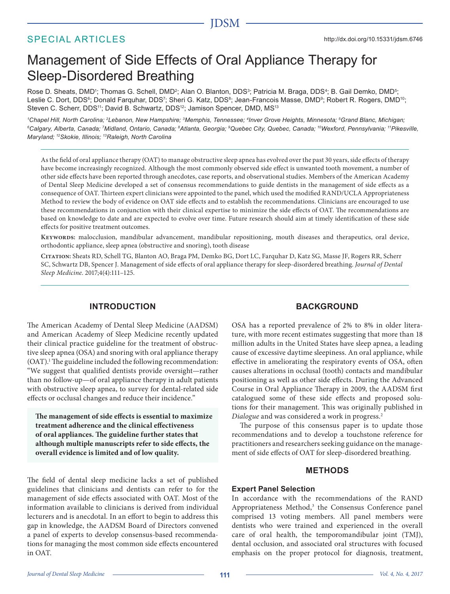# SPECIAL ARTICLES

# Management of Side Effects of Oral Appliance Therapy for Sleep-Disordered Breathing

Rose D. Sheats, DMD<sup>1</sup>; Thomas G. Schell, DMD<sup>2</sup>; Alan O. Blanton, DDS<sup>3</sup>; Patricia M. Braga, DDS<sup>4</sup>; B. Gail Demko, DMD<sup>5</sup>; Leslie C. Dort, DDS<sup>6</sup>; Donald Farquhar, DDS<sup>7</sup>; Sheri G. Katz, DDS<sup>8</sup>; Jean-Francois Masse, DMD<sup>9</sup>; Robert R. Rogers, DMD<sup>10</sup>; Steven C. Scherr, DDS<sup>11</sup>; David B. Schwartz, DDS<sup>12</sup>; Jamison Spencer, DMD, MS<sup>13</sup>

*1 Chapel Hill, North Carolina; 2Lebanon, New Hampshire; 3Memphis, Tennessee; 4Inver Grove Heights, Minnesota; 5Grand Blanc, Michigan; 6Calgary, Alberta, Canada; 7 Midland, Ontario, Canada; 8Atlanta, Georgia; 9Quebec City, Quebec, Canada; 10Wexford, Pennsylvania; 11Pikesville, Maryland; 12Skokie, Illinois; 13Raleigh, North Carolina*

As the field of oral appliance therapy (OAT) to manage obstructive sleep apnea has evolved over the past 30 years, side effects of therapy have become increasingly recognized. Although the most commonly observed side effect is unwanted tooth movement, a number of other side effects have been reported through anecdotes, case reports, and observational studies. Members of the American Academy of Dental Sleep Medicine developed a set of consensus recommendations to guide dentists in the management of side effects as a consequence of OAT. Thirteen expert clinicians were appointed to the panel, which used the modified RAND/UCLA Appropriateness Method to review the body of evidence on OAT side effects and to establish the recommendations. Clinicians are encouraged to use these recommendations in conjunction with their clinical expertise to minimize the side effects of OAT. The recommendations are based on knowledge to date and are expected to evolve over time. Future research should aim at timely identification of these side effects for positive treatment outcomes.

**Keywords:** malocclusion, mandibular advancement, mandibular repositioning, mouth diseases and therapeutics, oral device, orthodontic appliance, sleep apnea (obstructive and snoring), tooth disease

**Citation:** Sheats RD, Schell TG, Blanton AO, Braga PM, Demko BG, Dort LC, Farquhar D, Katz SG, Masse JF, Rogers RR, Scherr SC, Schwartz DB, Spencer J. Management of side effects of oral appliance therapy for sleep-disordered breathing. *Journal of Dental Sleep Medicine*. 2017;4(4):111–125.

# **INTRODUCTION**

The American Academy of Dental Sleep Medicine (AADSM) and American Academy of Sleep Medicine recently updated their clinical practice guideline for the treatment of obstructive sleep apnea (OSA) and snoring with oral appliance therapy (OAT).<sup>1</sup> The guideline included the following recommendation: "We suggest that qualified dentists provide oversight—rather than no follow-up—of oral appliance therapy in adult patients with obstructive sleep apnea, to survey for dental-related side effects or occlusal changes and reduce their incidence."

**The management of side effects is essential to maximize treatment adherence and the clinical effectiveness of oral appliances. The guideline further states that although multiple manuscripts refer to side effects, the overall evidence is limited and of low quality.**

The field of dental sleep medicine lacks a set of published guidelines that clinicians and dentists can refer to for the management of side effects associated with OAT. Most of the information available to clinicians is derived from individual lecturers and is anecdotal. In an effort to begin to address this gap in knowledge, the AADSM Board of Directors convened a panel of experts to develop consensus-based recommendations for managing the most common side effects encountered in OAT.

# **BACKGROUND**

OSA has a reported prevalence of 2% to 8% in older literature, with more recent estimates suggesting that more than 18 million adults in the United States have sleep apnea, a leading cause of excessive daytime sleepiness. An oral appliance, while effective in ameliorating the respiratory events of OSA, often causes alterations in occlusal (tooth) contacts and mandibular positioning as well as other side effects. During the Advanced Course in Oral Appliance Therapy in 2009, the AADSM first catalogued some of these side effects and proposed solutions for their management. This was originally published in *Dialogue* and was considered a work in progress.2

The purpose of this consensus paper is to update those recommendations and to develop a touchstone reference for practitioners and researchers seeking guidance on the management of side effects of OAT for sleep-disordered breathing.

# **METHODS**

# **Expert Panel Selection**

In accordance with the recommendations of the RAND Appropriateness Method,<sup>3</sup> the Consensus Conference panel comprised 13 voting members. All panel members were dentists who were trained and experienced in the overall care of oral health, the temporomandibular joint (TMJ), dental occlusion, and associated oral structures with focused emphasis on the proper protocol for diagnosis, treatment,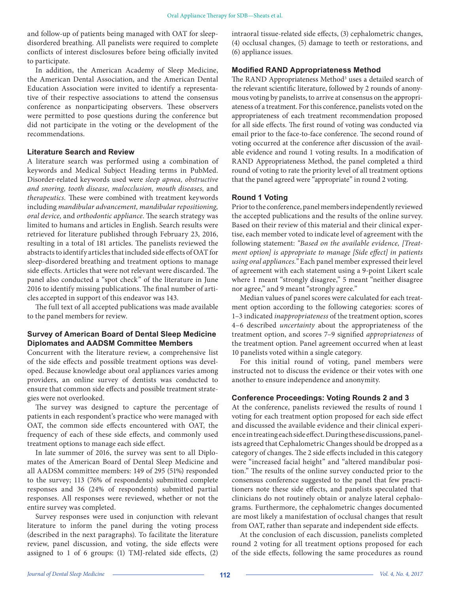and follow-up of patients being managed with OAT for sleepdisordered breathing. All panelists were required to complete conflicts of interest disclosures before being officially invited to participate.

In addition, the American Academy of Sleep Medicine, the American Dental Association, and the American Dental Education Association were invited to identify a representative of their respective associations to attend the consensus conference as nonparticipating observers. These observers were permitted to pose questions during the conference but did not participate in the voting or the development of the recommendations.

# **Literature Search and Review**

A literature search was performed using a combination of keywords and Medical Subject Heading terms in PubMed. Disorder-related keywords used were *sleep apnea, obstructive and snoring, tooth disease, malocclusion, mouth diseases,* and *therapeutics.* These were combined with treatment keywords including *mandibular advancement, mandibular repositioning, oral device,* and *orthodontic appliance*. The search strategy was limited to humans and articles in English. Search results were retrieved for literature published through February 23, 2016, resulting in a total of 181 articles. The panelists reviewed the abstracts to identify articles that included side effects of OAT for sleep-disordered breathing and treatment options to manage side effects. Articles that were not relevant were discarded. The panel also conducted a "spot check" of the literature in June 2016 to identify missing publications. The final number of articles accepted in support of this endeavor was 143.

The full text of all accepted publications was made available to the panel members for review.

# **Survey of American Board of Dental Sleep Medicine Diplomates and AADSM Committee Members**

Concurrent with the literature review, a comprehensive list of the side effects and possible treatment options was developed. Because knowledge about oral appliances varies among providers, an online survey of dentists was conducted to ensure that common side effects and possible treatment strategies were not overlooked.

The survey was designed to capture the percentage of patients in each respondent's practice who were managed with OAT, the common side effects encountered with OAT, the frequency of each of these side effects, and commonly used treatment options to manage each side effect.

In late summer of 2016, the survey was sent to all Diplomates of the American Board of Dental Sleep Medicine and all AADSM committee members: 149 of 295 (51%) responded to the survey; 113 (76% of respondents) submitted complete responses and 36 (24% of respondents) submitted partial responses. All responses were reviewed, whether or not the entire survey was completed.

Survey responses were used in conjunction with relevant literature to inform the panel during the voting process (described in the next paragraphs). To facilitate the literature review, panel discussion, and voting, the side effects were assigned to 1 of 6 groups: (1) TMJ-related side effects, (2)

intraoral tissue-related side effects, (3) cephalometric changes, (4) occlusal changes, (5) damage to teeth or restorations, and (6) appliance issues.

## **Modified RAND Appropriateness Method**

The RAND Appropriateness Method<sup>3</sup> uses a detailed search of the relevant scientific literature, followed by 2 rounds of anonymous voting by panelists, to arrive at consensus on the appropriateness of a treatment. For this conference, panelists voted on the appropriateness of each treatment recommendation proposed for all side effects. The first round of voting was conducted via email prior to the face-to-face conference. The second round of voting occurred at the conference after discussion of the available evidence and round 1 voting results. In a modification of RAND Appropriateness Method, the panel completed a third round of voting to rate the priority level of all treatment options that the panel agreed were "appropriate" in round 2 voting.

# **Round 1 Voting**

Prior to the conference, panel members independently reviewed the accepted publications and the results of the online survey. Based on their review of this material and their clinical expertise, each member voted to indicate level of agreement with the following statement: *"Based on the available evidence, [Treatment option] is appropriate to manage [Side effect] in patients using oral appliances."* Each panel member expressed their level of agreement with each statement using a 9-point Likert scale where 1 meant "strongly disagree," 5 meant "neither disagree nor agree," and 9 meant "strongly agree."

Median values of panel scores were calculated for each treatment option according to the following categories: scores of 1–3 indicated *inappropriateness* of the treatment option, scores 4–6 described *uncertainty* about the appropriateness of the treatment option, and scores 7–9 signified *appropriateness* of the treatment option. Panel agreement occurred when at least 10 panelists voted within a single category.

For this initial round of voting, panel members were instructed not to discuss the evidence or their votes with one another to ensure independence and anonymity.

# **Conference Proceedings: Voting Rounds 2 and 3**

At the conference, panelists reviewed the results of round 1 voting for each treatment option proposed for each side effect and discussed the available evidence and their clinical experience in treating each side effect. During these discussions, panelists agreed that Cephalometric Changes should be dropped as a category of changes. The 2 side effects included in this category were "increased facial height" and "altered mandibular position." The results of the online survey conducted prior to the consensus conference suggested to the panel that few practitioners note these side effects, and panelists speculated that clinicians do not routinely obtain or analyze lateral cephalograms. Furthermore, the cephalometric changes documented are most likely a manifestation of occlusal changes that result from OAT, rather than separate and independent side effects.

At the conclusion of each discussion, panelists completed round 2 voting for all treatment options proposed for each of the side effects, following the same procedures as round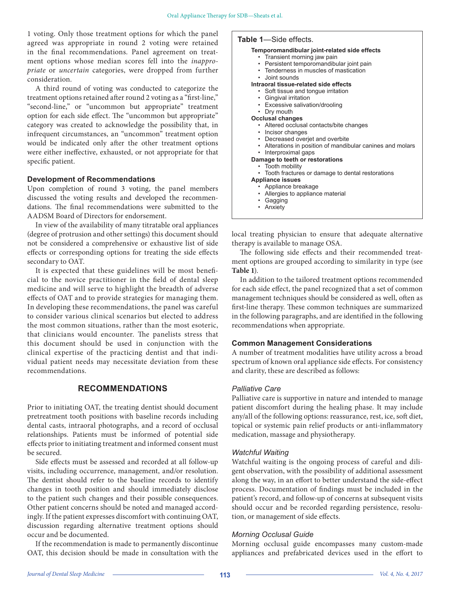1 voting. Only those treatment options for which the panel agreed was appropriate in round 2 voting were retained in the final recommendations. Panel agreement on treatment options whose median scores fell into the *inappropriate* or *uncertain* categories, were dropped from further consideration.

A third round of voting was conducted to categorize the treatment options retained after round 2 voting as a "first-line," "second-line," or "uncommon but appropriate" treatment option for each side effect. The "uncommon but appropriate" category was created to acknowledge the possibility that, in infrequent circumstances, an "uncommon" treatment option would be indicated only after the other treatment options were either ineffective, exhausted, or not appropriate for that specific patient.

# **Development of Recommendations**

Upon completion of round 3 voting, the panel members discussed the voting results and developed the recommendations. The final recommendations were submitted to the AADSM Board of Directors for endorsement.

In view of the availability of many titratable oral appliances (degree of protrusion and other settings) this document should not be considered a comprehensive or exhaustive list of side effects or corresponding options for treating the side effects secondary to OAT.

It is expected that these guidelines will be most beneficial to the novice practitioner in the field of dental sleep medicine and will serve to highlight the breadth of adverse effects of OAT and to provide strategies for managing them. In developing these recommendations, the panel was careful to consider various clinical scenarios but elected to address the most common situations, rather than the most esoteric, that clinicians would encounter. The panelists stress that this document should be used in conjunction with the clinical expertise of the practicing dentist and that individual patient needs may necessitate deviation from these recommendations.

# **RECOMMENDATIONS**

Prior to initiating OAT, the treating dentist should document pretreatment tooth positions with baseline records including dental casts, intraoral photographs, and a record of occlusal relationships. Patients must be informed of potential side effects prior to initiating treatment and informed consent must be secured.

Side effects must be assessed and recorded at all follow-up visits, including occurrence, management, and/or resolution. The dentist should refer to the baseline records to identify changes in tooth position and should immediately disclose to the patient such changes and their possible consequences. Other patient concerns should be noted and managed accordingly. If the patient expresses discomfort with continuing OAT, discussion regarding alternative treatment options should occur and be documented.

If the recommendation is made to permanently discontinue OAT, this decision should be made in consultation with the

# **Table 1**—Side effects.

**Temporomandibular joint-related side effects** • Transient morning jaw pain • Persistent temporomandibular joint pain • Tenderness in muscles of mastication • Joint sounds **Intraoral tissue-related side effects** • Soft tissue and tongue irritation • Gingival irritation • Excessive salivation/drooling • Dry mouth **Occlusal changes** • Altered occlusal contacts/bite changes • Incisor changes Decreased overjet and overbite • Alterations in position of mandibular canines and molars • Interproximal gaps **Damage to teeth or restorations** • Tooth mobility • Tooth fractures or damage to dental restorations **Appliance issues** • Appliance breakage • Allergies to appliance material **Gagging** • Anxiety

local treating physician to ensure that adequate alternative therapy is available to manage OSA.

The following side effects and their recommended treatment options are grouped according to similarity in type (see **Table 1**).

In addition to the tailored treatment options recommended for each side effect, the panel recognized that a set of common management techniques should be considered as well, often as first-line therapy. These common techniques are summarized in the following paragraphs, and are identified in the following recommendations when appropriate.

# **Common Management Considerations**

A number of treatment modalities have utility across a broad spectrum of known oral appliance side effects. For consistency and clarity, these are described as follows:

# *Palliative Care*

Palliative care is supportive in nature and intended to manage patient discomfort during the healing phase. It may include any/all of the following options: reassurance, rest, ice, soft diet, topical or systemic pain relief products or anti-inflammatory medication, massage and physiotherapy.

# *Watchful Waiting*

Watchful waiting is the ongoing process of careful and diligent observation, with the possibility of additional assessment along the way, in an effort to better understand the side-effect process. Documentation of findings must be included in the patient's record, and follow-up of concerns at subsequent visits should occur and be recorded regarding persistence, resolution, or management of side effects.

# *Morning Occlusal Guide*

Morning occlusal guide encompasses many custom-made appliances and prefabricated devices used in the effort to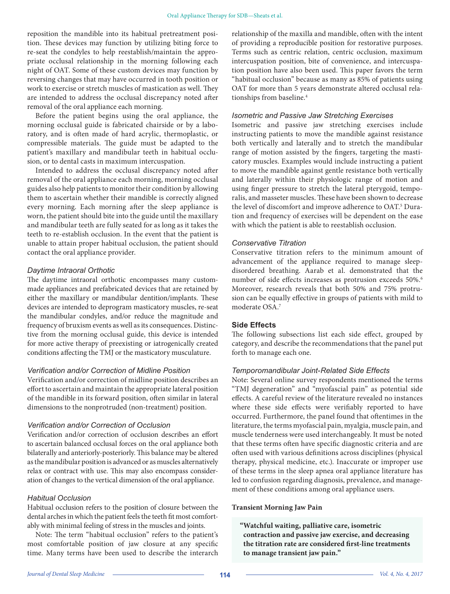reposition the mandible into its habitual pretreatment position. These devices may function by utilizing biting force to re-seat the condyles to help reestablish/maintain the appropriate occlusal relationship in the morning following each night of OAT. Some of these custom devices may function by reversing changes that may have occurred in tooth position or work to exercise or stretch muscles of mastication as well. They are intended to address the occlusal discrepancy noted after removal of the oral appliance each morning.

Before the patient begins using the oral appliance, the morning occlusal guide is fabricated chairside or by a laboratory, and is often made of hard acrylic, thermoplastic, or compressible materials. The guide must be adapted to the patient's maxillary and mandibular teeth in habitual occlusion, or to dental casts in maximum intercuspation.

Intended to address the occlusal discrepancy noted after removal of the oral appliance each morning, morning occlusal guides also help patients to monitor their condition by allowing them to ascertain whether their mandible is correctly aligned every morning. Each morning after the sleep appliance is worn, the patient should bite into the guide until the maxillary and mandibular teeth are fully seated for as long as it takes the teeth to re-establish occlusion. In the event that the patient is unable to attain proper habitual occlusion, the patient should contact the oral appliance provider.

## *Daytime Intraoral Orthotic*

The daytime intraoral orthotic encompasses many custommade appliances and prefabricated devices that are retained by either the maxillary or mandibular dentition/implants. These devices are intended to deprogram masticatory muscles, re-seat the mandibular condyles, and/or reduce the magnitude and frequency of bruxism events as well as its consequences. Distinctive from the morning occlusal guide, this device is intended for more active therapy of preexisting or iatrogenically created conditions affecting the TMJ or the masticatory musculature.

#### *Verification and/or Correction of Midline Position*

Verification and/or correction of midline position describes an effort to ascertain and maintain the appropriate lateral position of the mandible in its forward position, often similar in lateral dimensions to the nonprotruded (non-treatment) position.

#### *Verification and/or Correction of Occlusion*

Verification and/or correction of occlusion describes an effort to ascertain balanced occlusal forces on the oral appliance both bilaterally and anteriorly-posteriorly. This balance may be altered as the mandibular position is advanced or as muscles alternatively relax or contract with use. This may also encompass consideration of changes to the vertical dimension of the oral appliance.

## *Habitual Occlusion*

Habitual occlusion refers to the position of closure between the dental arches in which the patient feels the teeth fit most comfortably with minimal feeling of stress in the muscles and joints.

Note: The term "habitual occlusion" refers to the patient's most comfortable position of jaw closure at any specific time. Many terms have been used to describe the interarch relationship of the maxilla and mandible, often with the intent of providing a reproducible position for restorative purposes. Terms such as centric relation, centric occlusion, maximum intercuspation position, bite of convenience, and intercuspation position have also been used. This paper favors the term "habitual occlusion" because as many as 85% of patients using OAT for more than 5 years demonstrate altered occlusal relationships from baseline.<sup>4</sup>

## *Isometric and Passive Jaw Stretching Exercises*

Isometric and passive jaw stretching exercises include instructing patients to move the mandible against resistance both vertically and laterally and to stretch the mandibular range of motion assisted by the fingers, targeting the masticatory muscles. Examples would include instructing a patient to move the mandible against gentle resistance both vertically and laterally within their physiologic range of motion and using finger pressure to stretch the lateral pterygoid, temporalis, and masseter muscles. These have been shown to decrease the level of discomfort and improve adherence to OAT.<sup>5</sup> Duration and frequency of exercises will be dependent on the ease with which the patient is able to reestablish occlusion.

## *Conservative Titration*

Conservative titration refers to the minimum amount of advancement of the appliance required to manage sleepdisordered breathing. Aarab et al. demonstrated that the number of side effects increases as protrusion exceeds 50%.<sup>6</sup> Moreover, research reveals that both 50% and 75% protrusion can be equally effective in groups of patients with mild to moderate OSA.7

# **Side Effects**

The following subsections list each side effect, grouped by category, and describe the recommendations that the panel put forth to manage each one.

# *Temporomandibular Joint-Related Side Effects*

Note: Several online survey respondents mentioned the terms "TMJ degeneration" and "myofascial pain" as potential side effects. A careful review of the literature revealed no instances where these side effects were verifiably reported to have occurred. Furthermore, the panel found that oftentimes in the literature, the terms myofascial pain, myalgia, muscle pain, and muscle tenderness were used interchangeably. It must be noted that these terms often have specific diagnostic criteria and are often used with various definitions across disciplines (physical therapy, physical medicine, etc.). Inaccurate or improper use of these terms in the sleep apnea oral appliance literature has led to confusion regarding diagnosis, prevalence, and management of these conditions among oral appliance users.

#### **Transient Morning Jaw Pain**

**"Watchful waiting, palliative care, isometric contraction and passive jaw exercise, and decreasing the titration rate are considered first-line treatments to manage transient jaw pain."**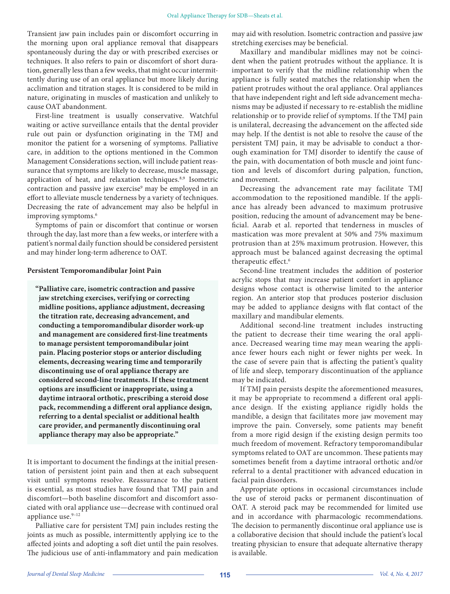Transient jaw pain includes pain or discomfort occurring in the morning upon oral appliance removal that disappears spontaneously during the day or with prescribed exercises or techniques. It also refers to pain or discomfort of short duration, generally less than a few weeks, that might occur intermittently during use of an oral appliance but more likely during acclimation and titration stages. It is considered to be mild in nature, originating in muscles of mastication and unlikely to cause OAT abandonment.

First-line treatment is usually conservative. Watchful waiting or active surveillance entails that the dental provider rule out pain or dysfunction originating in the TMJ and monitor the patient for a worsening of symptoms. Palliative care, in addition to the options mentioned in the Common Management Considerations section, will include patient reassurance that symptoms are likely to decrease, muscle massage, application of heat, and relaxation techniques.<sup>8,9</sup> Isometric contraction and passive jaw exercise<sup>9</sup> may be employed in an effort to alleviate muscle tenderness by a variety of techniques. Decreasing the rate of advancement may also be helpful in improving symptoms.<sup>6</sup>

Symptoms of pain or discomfort that continue or worsen through the day, last more than a few weeks, or interfere with a patient's normal daily function should be considered persistent and may hinder long-term adherence to OAT.

#### **Persistent Temporomandibular Joint Pain**

**"Palliative care, isometric contraction and passive jaw stretching exercises, verifying or correcting midline positions, appliance adjustment, decreasing the titration rate, decreasing advancement, and conducting a temporomandibular disorder work-up and management are considered first-line treatments to manage persistent temporomandibular joint pain. Placing posterior stops or anterior discluding elements, decreasing wearing time and temporarily discontinuing use of oral appliance therapy are considered second-line treatments. If these treatment options are insufficient or inappropriate, using a daytime intraoral orthotic, prescribing a steroid dose pack, recommending a different oral appliance design, referring to a dental specialist or additional health care provider, and permanently discontinuing oral appliance therapy may also be appropriate."**

It is important to document the findings at the initial presentation of persistent joint pain and then at each subsequent visit until symptoms resolve. Reassurance to the patient is essential, as most studies have found that TMJ pain and discomfort—both baseline discomfort and discomfort associated with oral appliance use—decrease with continued oral appliance use.<sup>9-12</sup>

Palliative care for persistent TMJ pain includes resting the joints as much as possible, intermittently applying ice to the affected joints and adopting a soft diet until the pain resolves. The judicious use of anti-inflammatory and pain medication

may aid with resolution. Isometric contraction and passive jaw stretching exercises may be beneficial.

Maxillary and mandibular midlines may not be coincident when the patient protrudes without the appliance. It is important to verify that the midline relationship when the appliance is fully seated matches the relationship when the patient protrudes without the oral appliance. Oral appliances that have independent right and left side advancement mechanisms may be adjusted if necessary to re-establish the midline relationship or to provide relief of symptoms. If the TMJ pain is unilateral, decreasing the advancement on the affected side may help. If the dentist is not able to resolve the cause of the persistent TMJ pain, it may be advisable to conduct a thorough examination for TMJ disorder to identify the cause of the pain, with documentation of both muscle and joint function and levels of discomfort during palpation, function, and movement.

Decreasing the advancement rate may facilitate TMJ accommodation to the repositioned mandible. If the appliance has already been advanced to maximum protrusive position, reducing the amount of advancement may be beneficial. Aarab et al. reported that tenderness in muscles of mastication was more prevalent at 50% and 75% maximum protrusion than at 25% maximum protrusion. However, this approach must be balanced against decreasing the optimal therapeutic effect.<sup>6</sup>

Second-line treatment includes the addition of posterior acrylic stops that may increase patient comfort in appliance designs whose contact is otherwise limited to the anterior region. An anterior stop that produces posterior disclusion may be added to appliance designs with flat contact of the maxillary and mandibular elements.

Additional second-line treatment includes instructing the patient to decrease their time wearing the oral appliance. Decreased wearing time may mean wearing the appliance fewer hours each night or fewer nights per week. In the case of severe pain that is affecting the patient's quality of life and sleep, temporary discontinuation of the appliance may be indicated.

If TMJ pain persists despite the aforementioned measures, it may be appropriate to recommend a different oral appliance design. If the existing appliance rigidly holds the mandible, a design that facilitates more jaw movement may improve the pain. Conversely, some patients may benefit from a more rigid design if the existing design permits too much freedom of movement. Refractory temporomandibular symptoms related to OAT are uncommon. These patients may sometimes benefit from a daytime intraoral orthotic and/or referral to a dental practitioner with advanced education in facial pain disorders.

Appropriate options in occasional circumstances include the use of steroid packs or permanent discontinuation of OAT. A steroid pack may be recommended for limited use and in accordance with pharmacologic recommendations. The decision to permanently discontinue oral appliance use is a collaborative decision that should include the patient's local treating physician to ensure that adequate alternative therapy is available.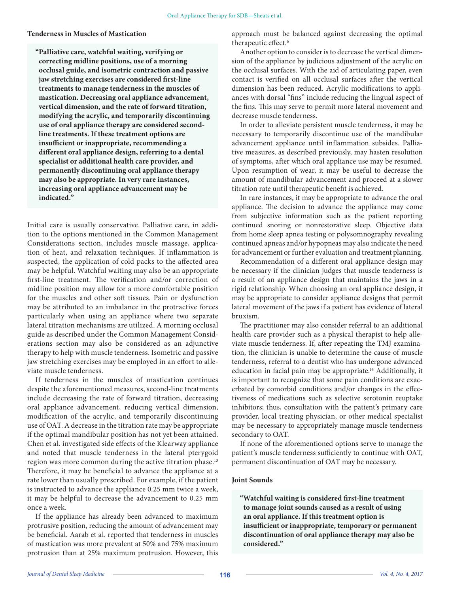## **Tenderness in Muscles of Mastication**

**"Palliative care, watchful waiting, verifying or correcting midline positions, use of a morning occlusal guide, and isometric contraction and passive jaw stretching exercises are considered first-line treatments to manage tenderness in the muscles of mastication. Decreasing oral appliance advancement, vertical dimension, and the rate of forward titration, modifying the acrylic, and temporarily discontinuing use of oral appliance therapy are considered secondline treatments. If these treatment options are insufficient or inappropriate, recommending a different oral appliance design, referring to a dental specialist or additional health care provider, and permanently discontinuing oral appliance therapy may also be appropriate. In very rare instances, increasing oral appliance advancement may be indicated."**

Initial care is usually conservative. Palliative care, in addition to the options mentioned in the Common Management Considerations section, includes muscle massage, application of heat, and relaxation techniques. If inflammation is suspected, the application of cold packs to the affected area may be helpful. Watchful waiting may also be an appropriate first-line treatment. The verification and/or correction of midline position may allow for a more comfortable position for the muscles and other soft tissues. Pain or dysfunction may be attributed to an imbalance in the protractive forces particularly when using an appliance where two separate lateral titration mechanisms are utilized. A morning occlusal guide as described under the Common Management Considerations section may also be considered as an adjunctive therapy to help with muscle tenderness. Isometric and passive jaw stretching exercises may be employed in an effort to alleviate muscle tenderness.

If tenderness in the muscles of mastication continues despite the aforementioned measures, second-line treatments include decreasing the rate of forward titration, decreasing oral appliance advancement, reducing vertical dimension, modification of the acrylic, and temporarily discontinuing use of OAT. A decrease in the titration rate may be appropriate if the optimal mandibular position has not yet been attained. Chen et al. investigated side effects of the Klearway appliance and noted that muscle tenderness in the lateral pterygoid region was more common during the active titration phase.<sup>13</sup> Therefore, it may be beneficial to advance the appliance at a rate lower than usually prescribed. For example, if the patient is instructed to advance the appliance 0.25 mm twice a week, it may be helpful to decrease the advancement to 0.25 mm once a week.

If the appliance has already been advanced to maximum protrusive position, reducing the amount of advancement may be beneficial. Aarab et al. reported that tenderness in muscles of mastication was more prevalent at 50% and 75% maximum protrusion than at 25% maximum protrusion. However, this

approach must be balanced against decreasing the optimal therapeutic effect.6

Another option to consider is to decrease the vertical dimension of the appliance by judicious adjustment of the acrylic on the occlusal surfaces. With the aid of articulating paper, even contact is verified on all occlusal surfaces after the vertical dimension has been reduced. Acrylic modifications to appliances with dorsal "fins" include reducing the lingual aspect of the fins. This may serve to permit more lateral movement and decrease muscle tenderness.

In order to alleviate persistent muscle tenderness, it may be necessary to temporarily discontinue use of the mandibular advancement appliance until inflammation subsides. Palliative measures, as described previously, may hasten resolution of symptoms, after which oral appliance use may be resumed. Upon resumption of wear, it may be useful to decrease the amount of mandibular advancement and proceed at a slower titration rate until therapeutic benefit is achieved.

In rare instances, it may be appropriate to advance the oral appliance. The decision to advance the appliance may come from subjective information such as the patient reporting continued snoring or nonrestorative sleep. Objective data from home sleep apnea testing or polysomnography revealing continued apneas and/or hypopneas may also indicate the need for advancement or further evaluation and treatment planning.

Recommendation of a different oral appliance design may be necessary if the clinician judges that muscle tenderness is a result of an appliance design that maintains the jaws in a rigid relationship. When choosing an oral appliance design, it may be appropriate to consider appliance designs that permit lateral movement of the jaws if a patient has evidence of lateral bruxism.

The practitioner may also consider referral to an additional health care provider such as a physical therapist to help alleviate muscle tenderness. If, after repeating the TMJ examination, the clinician is unable to determine the cause of muscle tenderness, referral to a dentist who has undergone advanced education in facial pain may be appropriate.<sup>14</sup> Additionally, it is important to recognize that some pain conditions are exacerbated by comorbid conditions and/or changes in the effectiveness of medications such as selective serotonin reuptake inhibitors; thus, consultation with the patient's primary care provider, local treating physician, or other medical specialist may be necessary to appropriately manage muscle tenderness secondary to OAT.

If none of the aforementioned options serve to manage the patient's muscle tenderness sufficiently to continue with OAT, permanent discontinuation of OAT may be necessary.

#### **Joint Sounds**

**"Watchful waiting is considered first-line treatment to manage joint sounds caused as a result of using an oral appliance. If this treatment option is insufficient or inappropriate, temporary or permanent discontinuation of oral appliance therapy may also be considered."**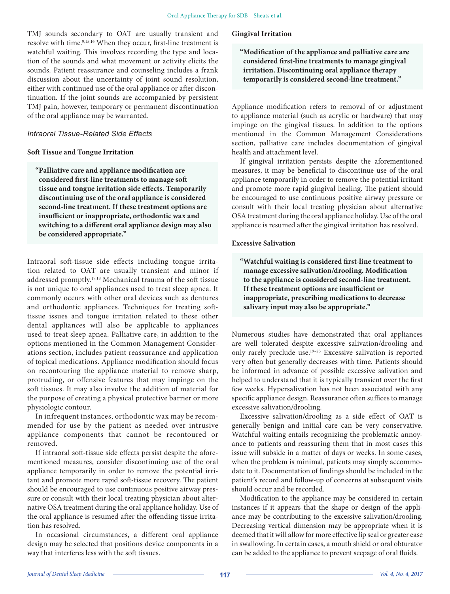TMJ sounds secondary to OAT are usually transient and resolve with time.<sup>9,15,16</sup> When they occur, first-line treatment is watchful waiting. This involves recording the type and location of the sounds and what movement or activity elicits the sounds. Patient reassurance and counseling includes a frank discussion about the uncertainty of joint sound resolution, either with continued use of the oral appliance or after discontinuation. If the joint sounds are accompanied by persistent TMJ pain, however, temporary or permanent discontinuation of the oral appliance may be warranted.

## *Intraoral Tissue-Related Side Effects*

#### **Soft Tissue and Tongue Irritation**

**"Palliative care and appliance modification are considered first-line treatments to manage soft tissue and tongue irritation side effects. Temporarily discontinuing use of the oral appliance is considered second-line treatment. If these treatment options are insufficient or inappropriate, orthodontic wax and switching to a different oral appliance design may also be considered appropriate."**

Intraoral soft-tissue side effects including tongue irritation related to OAT are usually transient and minor if addressed promptly.17,18 Mechanical trauma of the soft tissue is not unique to oral appliances used to treat sleep apnea. It commonly occurs with other oral devices such as dentures and orthodontic appliances. Techniques for treating softtissue issues and tongue irritation related to these other dental appliances will also be applicable to appliances used to treat sleep apnea. Palliative care, in addition to the options mentioned in the Common Management Considerations section, includes patient reassurance and application of topical medications. Appliance modification should focus on recontouring the appliance material to remove sharp, protruding, or offensive features that may impinge on the soft tissues. It may also involve the addition of material for the purpose of creating a physical protective barrier or more physiologic contour.

In infrequent instances, orthodontic wax may be recommended for use by the patient as needed over intrusive appliance components that cannot be recontoured or removed.

If intraoral soft-tissue side effects persist despite the aforementioned measures, consider discontinuing use of the oral appliance temporarily in order to remove the potential irritant and promote more rapid soft-tissue recovery. The patient should be encouraged to use continuous positive airway pressure or consult with their local treating physician about alternative OSA treatment during the oral appliance holiday. Use of the oral appliance is resumed after the offending tissue irritation has resolved.

In occasional circumstances, a different oral appliance design may be selected that positions device components in a way that interferes less with the soft tissues.

#### **Gingival Irritation**

**"Modification of the appliance and palliative care are considered first-line treatments to manage gingival irritation. Discontinuing oral appliance therapy temporarily is considered second-line treatment."**

Appliance modification refers to removal of or adjustment to appliance material (such as acrylic or hardware) that may impinge on the gingival tissues. In addition to the options mentioned in the Common Management Considerations section, palliative care includes documentation of gingival health and attachment level.

If gingival irritation persists despite the aforementioned measures, it may be beneficial to discontinue use of the oral appliance temporarily in order to remove the potential irritant and promote more rapid gingival healing. The patient should be encouraged to use continuous positive airway pressure or consult with their local treating physician about alternative OSA treatment during the oral appliance holiday. Use of the oral appliance is resumed after the gingival irritation has resolved.

#### **Excessive Salivation**

**"Watchful waiting is considered first-line treatment to manage excessive salivation/drooling. Modification to the appliance is considered second-line treatment. If these treatment options are insufficient or inappropriate, prescribing medications to decrease salivary input may also be appropriate."**

Numerous studies have demonstrated that oral appliances are well tolerated despite excessive salivation/drooling and only rarely preclude use.19–23 Excessive salivation is reported very often but generally decreases with time. Patients should be informed in advance of possible excessive salivation and helped to understand that it is typically transient over the first few weeks. Hypersalivation has not been associated with any specific appliance design. Reassurance often suffices to manage excessive salivation/drooling.

Excessive salivation/drooling as a side effect of OAT is generally benign and initial care can be very conservative. Watchful waiting entails recognizing the problematic annoyance to patients and reassuring them that in most cases this issue will subside in a matter of days or weeks. In some cases, when the problem is minimal, patients may simply accommodate to it. Documentation of findings should be included in the patient's record and follow-up of concerns at subsequent visits should occur and be recorded.

Modification to the appliance may be considered in certain instances if it appears that the shape or design of the appliance may be contributing to the excessive salivation/drooling. Decreasing vertical dimension may be appropriate when it is deemed that it will allow for more effective lip seal or greater ease in swallowing. In certain cases, a mouth shield or oral obturator can be added to the appliance to prevent seepage of oral fluids.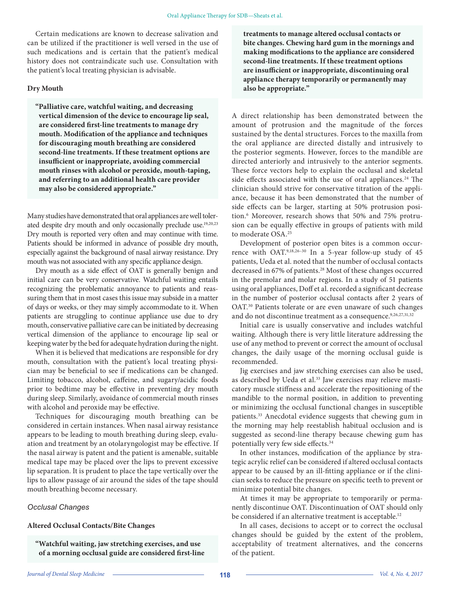Certain medications are known to decrease salivation and can be utilized if the practitioner is well versed in the use of such medications and is certain that the patient's medical history does not contraindicate such use. Consultation with the patient's local treating physician is advisable.

#### **Dry Mouth**

**"Palliative care, watchful waiting, and decreasing vertical dimension of the device to encourage lip seal, are considered first-line treatments to manage dry mouth. Modification of the appliance and techniques for discouraging mouth breathing are considered second-line treatments. If these treatment options are insufficient or inappropriate, avoiding commercial mouth rinses with alcohol or peroxide, mouth-taping, and referring to an additional health care provider may also be considered appropriate."**

Many studies have demonstrated that oral appliances are well tolerated despite dry mouth and only occasionally preclude use.19,20,23 Dry mouth is reported very often and may continue with time. Patients should be informed in advance of possible dry mouth, especially against the background of nasal airway resistance. Dry mouth was not associated with any specific appliance design.

Dry mouth as a side effect of OAT is generally benign and initial care can be very conservative. Watchful waiting entails recognizing the problematic annoyance to patients and reassuring them that in most cases this issue may subside in a matter of days or weeks, or they may simply accommodate to it. When patients are struggling to continue appliance use due to dry mouth, conservative palliative care can be initiated by decreasing vertical dimension of the appliance to encourage lip seal or keeping water by the bed for adequate hydration during the night.

When it is believed that medications are responsible for dry mouth, consultation with the patient's local treating physician may be beneficial to see if medications can be changed. Limiting tobacco, alcohol, caffeine, and sugary/acidic foods prior to bedtime may be effective in preventing dry mouth during sleep. Similarly, avoidance of commercial mouth rinses with alcohol and peroxide may be effective.

Techniques for discouraging mouth breathing can be considered in certain instances. When nasal airway resistance appears to be leading to mouth breathing during sleep, evaluation and treatment by an otolaryngologist may be effective. If the nasal airway is patent and the patient is amenable, suitable medical tape may be placed over the lips to prevent excessive lip separation. It is prudent to place the tape vertically over the lips to allow passage of air around the sides of the tape should mouth breathing become necessary.

#### *Occlusal Changes*

# **Altered Occlusal Contacts/Bite Changes**

**"Watchful waiting, jaw stretching exercises, and use of a morning occlusal guide are considered first-line**  **treatments to manage altered occlusal contacts or bite changes. Chewing hard gum in the mornings and making modifications to the appliance are considered second-line treatments. If these treatment options are insufficient or inappropriate, discontinuing oral appliance therapy temporarily or permanently may also be appropriate."**

A direct relationship has been demonstrated between the amount of protrusion and the magnitude of the forces sustained by the dental structures. Forces to the maxilla from the oral appliance are directed distally and intrusively to the posterior segments. However, forces to the mandible are directed anteriorly and intrusively to the anterior segments. These force vectors help to explain the occlusal and skeletal side effects associated with the use of oral appliances.<sup>24</sup> The clinician should strive for conservative titration of the appliance, because it has been demonstrated that the number of side effects can be larger, starting at 50% protrusion position.6 Moreover, research shows that 50% and 75% protrusion can be equally effective in groups of patients with mild to moderate OSA.25

Development of posterior open bites is a common occurrence with OAT.<sup>9,18,26-30</sup> In a 5-year follow-up study of 45 patients, Ueda et al. noted that the number of occlusal contacts decreased in 67% of patients.28 Most of these changes occurred in the premolar and molar regions. In a study of 51 patients using oral appliances, Doff et al. recorded a significant decrease in the number of posterior occlusal contacts after 2 years of OAT.30 Patients tolerate or are even unaware of such changes and do not discontinue treatment as a consequence.<sup>9,26,27,31,32</sup>

Initial care is usually conservative and includes watchful waiting. Although there is very little literature addressing the use of any method to prevent or correct the amount of occlusal changes, the daily usage of the morning occlusal guide is recommended.

Jig exercises and jaw stretching exercises can also be used, as described by Ueda et al.<sup>33</sup> Jaw exercises may relieve masticatory muscle stiffness and accelerate the repositioning of the mandible to the normal position, in addition to preventing or minimizing the occlusal functional changes in susceptible patients.<sup>33</sup> Anecdotal evidence suggests that chewing gum in the morning may help reestablish habitual occlusion and is suggested as second-line therapy because chewing gum has potentially very few side effects.34

In other instances, modification of the appliance by strategic acrylic relief can be considered if altered occlusal contacts appear to be caused by an ill-fitting appliance or if the clinician seeks to reduce the pressure on specific teeth to prevent or minimize potential bite changes.

At times it may be appropriate to temporarily or permanently discontinue OAT. Discontinuation of OAT should only be considered if an alternative treatment is acceptable.<sup>12</sup>

In all cases, decisions to accept or to correct the occlusal changes should be guided by the extent of the problem, acceptability of treatment alternatives, and the concerns of the patient.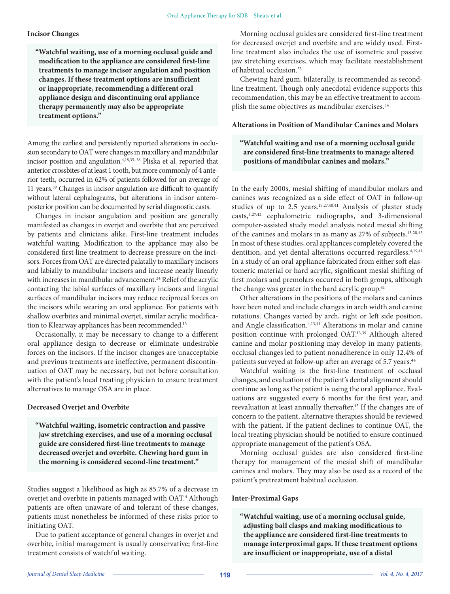#### **Incisor Changes**

**"Watchful waiting, use of a morning occlusal guide and modification to the appliance are considered first-line treatments to manage incisor angulation and position changes. If these treatment options are insufficient or inappropriate, recommending a different oral appliance design and discontinuing oral appliance therapy permanently may also be appropriate treatment options."**

Among the earliest and persistently reported alterations in occlusion secondary to OAT were changes in maxillary and mandibular incisor position and angulation.4,18,35–38 Pliska et al. reported that anterior crossbites of at least 1 tooth, but more commonly of 4 anterior teeth, occurred in 62% of patients followed for an average of 11 years.39 Changes in incisor angulation are difficult to quantify without lateral cephalograms, but alterations in incisor anteroposterior position can be documented by serial diagnostic casts.

Changes in incisor angulation and position are generally manifested as changes in overjet and overbite that are perceived by patients and clinicians alike. First-line treatment includes watchful waiting. Modification to the appliance may also be considered first-line treatment to decrease pressure on the incisors. Forces from OAT are directed palatally to maxillary incisors and labially to mandibular incisors and increase nearly linearly with increases in mandibular advancement.<sup>24</sup> Relief of the acrylic contacting the labial surfaces of maxillary incisors and lingual surfaces of mandibular incisors may reduce reciprocal forces on the incisors while wearing an oral appliance. For patients with shallow overbites and minimal overjet, similar acrylic modification to Klearway appliances has been recommended.<sup>13</sup>

Occasionally, it may be necessary to change to a different oral appliance design to decrease or eliminate undesirable forces on the incisors. If the incisor changes are unacceptable and previous treatments are ineffective, permanent discontinuation of OAT may be necessary, but not before consultation with the patient's local treating physician to ensure treatment alternatives to manage OSA are in place.

#### **Decreased Overjet and Overbite**

**"Watchful waiting, isometric contraction and passive jaw stretching exercises, and use of a morning occlusal guide are considered first-line treatments to manage decreased overjet and overbite. Chewing hard gum in the morning is considered second-line treatment."**

Studies suggest a likelihood as high as 85.7% of a decrease in overjet and overbite in patients managed with OAT.<sup>4</sup> Although patients are often unaware of and tolerant of these changes, patients must nonetheless be informed of these risks prior to initiating OAT.

Due to patient acceptance of general changes in overjet and overbite, initial management is usually conservative; first-line treatment consists of watchful waiting.

Morning occlusal guides are considered first-line treatment for decreased overjet and overbite and are widely used. Firstline treatment also includes the use of isometric and passive jaw stretching exercises, which may facilitate reestablishment of habitual occlusion.<sup>33</sup>

Chewing hard gum, bilaterally, is recommended as secondline treatment. Though only anecdotal evidence supports this recommendation, this may be an effective treatment to accomplish the same objectives as mandibular exercises.<sup>34</sup>

#### **Alterations in Position of Mandibular Canines and Molars**

# **"Watchful waiting and use of a morning occlusal guide are considered first-line treatments to manage altered positions of mandibular canines and molars."**

In the early 2000s, mesial shifting of mandibular molars and canines was recognized as a side effect of OAT in follow-up studies of up to 2.5 years.<sup>19,27,40,41</sup> Analysis of plaster study casts,4,27,42 cephalometric radiographs, and 3-dimensional computer-assisted study model analysis noted mesial shifting of the canines and molars in as many as 27% of subjects.13,28,43 In most of these studies, oral appliances completely covered the dentition, and yet dental alterations occurred regardless.<sup>4,19,41</sup> In a study of an oral appliance fabricated from either soft elastomeric material or hard acrylic, significant mesial shifting of first molars and premolars occurred in both groups, although the change was greater in the hard acrylic group.<sup>41</sup>

Other alterations in the positions of the molars and canines have been noted and include changes in arch width and canine rotations. Changes varied by arch, right or left side position, and Angle classification.<sup>4,13,41</sup> Alterations in molar and canine position continue with prolonged OAT.13,39 Although altered canine and molar positioning may develop in many patients, occlusal changes led to patient nonadherence in only 12.4% of patients surveyed at follow-up after an average of 5.7 years.<sup>44</sup>

Watchful waiting is the first-line treatment of occlusal changes, and evaluation of the patient's dental alignment should continue as long as the patient is using the oral appliance. Evaluations are suggested every 6 months for the first year, and reevaluation at least annually thereafter.<sup>45</sup> If the changes are of concern to the patient, alternative therapies should be reviewed with the patient. If the patient declines to continue OAT, the local treating physician should be notified to ensure continued appropriate management of the patient's OSA.

Morning occlusal guides are also considered first-line therapy for management of the mesial shift of mandibular canines and molars. They may also be used as a record of the patient's pretreatment habitual occlusion.

#### **Inter-Proximal Gaps**

**"Watchful waiting, use of a morning occlusal guide, adjusting ball clasps and making modifications to the appliance are considered first-line treatments to manage interproximal gaps. If these treatment options are insufficient or inappropriate, use of a distal**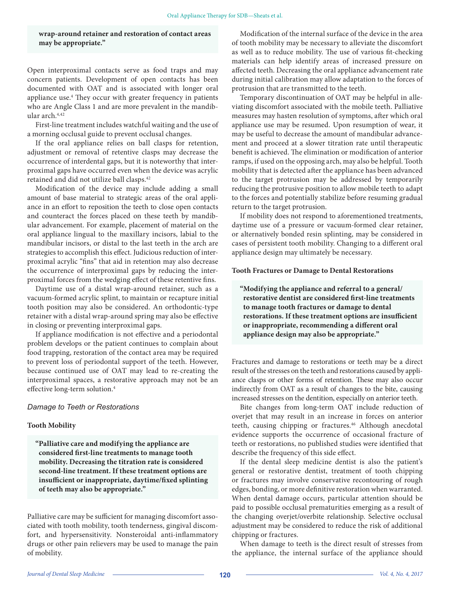**wrap-around retainer and restoration of contact areas may be appropriate."**

Open interproximal contacts serve as food traps and may concern patients. Development of open contacts has been documented with OAT and is associated with longer oral appliance use.<sup>4</sup> They occur with greater frequency in patients who are Angle Class 1 and are more prevalent in the mandibular arch.4,42

First-line treatment includes watchful waiting and the use of a morning occlusal guide to prevent occlusal changes.

If the oral appliance relies on ball clasps for retention, adjustment or removal of retentive clasps may decrease the occurrence of interdental gaps, but it is noteworthy that interproximal gaps have occurred even when the device was acrylic retained and did not utilize ball clasps.42

Modification of the device may include adding a small amount of base material to strategic areas of the oral appliance in an effort to reposition the teeth to close open contacts and counteract the forces placed on these teeth by mandibular advancement. For example, placement of material on the oral appliance lingual to the maxillary incisors, labial to the mandibular incisors, or distal to the last teeth in the arch are strategies to accomplish this effect. Judicious reduction of interproximal acrylic "fins" that aid in retention may also decrease the occurrence of interproximal gaps by reducing the interproximal forces from the wedging effect of these retentive fins.

Daytime use of a distal wrap-around retainer, such as a vacuum-formed acrylic splint, to maintain or recapture initial tooth position may also be considered. An orthodontic-type retainer with a distal wrap-around spring may also be effective in closing or preventing interproximal gaps.

If appliance modification is not effective and a periodontal problem develops or the patient continues to complain about food trapping, restoration of the contact area may be required to prevent loss of periodontal support of the teeth. However, because continued use of OAT may lead to re-creating the interproximal spaces, a restorative approach may not be an effective long-term solution.4

#### *Damage to Teeth or Restorations*

#### **Tooth Mobility**

**"Palliative care and modifying the appliance are considered first-line treatments to manage tooth mobility. Decreasing the titration rate is considered second-line treatment. If these treatment options are insufficient or inappropriate, daytime/fixed splinting of teeth may also be appropriate."**

Palliative care may be sufficient for managing discomfort associated with tooth mobility, tooth tenderness, gingival discomfort, and hypersensitivity. Nonsteroidal anti-inflammatory drugs or other pain relievers may be used to manage the pain of mobility.

Modification of the internal surface of the device in the area of tooth mobility may be necessary to alleviate the discomfort as well as to reduce mobility. The use of various fit-checking materials can help identify areas of increased pressure on affected teeth. Decreasing the oral appliance advancement rate during initial calibration may allow adaptation to the forces of protrusion that are transmitted to the teeth.

Temporary discontinuation of OAT may be helpful in alleviating discomfort associated with the mobile teeth. Palliative measures may hasten resolution of symptoms, after which oral appliance use may be resumed. Upon resumption of wear, it may be useful to decrease the amount of mandibular advancement and proceed at a slower titration rate until therapeutic benefit is achieved. The elimination or modification of anterior ramps, if used on the opposing arch, may also be helpful. Tooth mobility that is detected after the appliance has been advanced to the target protrusion may be addressed by temporarily reducing the protrusive position to allow mobile teeth to adapt to the forces and potentially stabilize before resuming gradual return to the target protrusion.

If mobility does not respond to aforementioned treatments, daytime use of a pressure or vacuum-formed clear retainer, or alternatively bonded resin splinting, may be considered in cases of persistent tooth mobility. Changing to a different oral appliance design may ultimately be necessary.

#### **Tooth Fractures or Damage to Dental Restorations**

**"Modifying the appliance and referral to a general/ restorative dentist are considered first-line treatments to manage tooth fractures or damage to dental restorations. If these treatment options are insufficient or inappropriate, recommending a different oral appliance design may also be appropriate."**

Fractures and damage to restorations or teeth may be a direct result of the stresses on the teeth and restorations caused by appliance clasps or other forms of retention. These may also occur indirectly from OAT as a result of changes to the bite, causing increased stresses on the dentition, especially on anterior teeth.

Bite changes from long-term OAT include reduction of overjet that may result in an increase in forces on anterior teeth, causing chipping or fractures.<sup>46</sup> Although anecdotal evidence supports the occurrence of occasional fracture of teeth or restorations, no published studies were identified that describe the frequency of this side effect.

If the dental sleep medicine dentist is also the patient's general or restorative dentist, treatment of tooth chipping or fractures may involve conservative recontouring of rough edges, bonding, or more definitive restoration when warranted. When dental damage occurs, particular attention should be paid to possible occlusal prematurities emerging as a result of the changing overjet/overbite relationship. Selective occlusal adjustment may be considered to reduce the risk of additional chipping or fractures.

When damage to teeth is the direct result of stresses from the appliance, the internal surface of the appliance should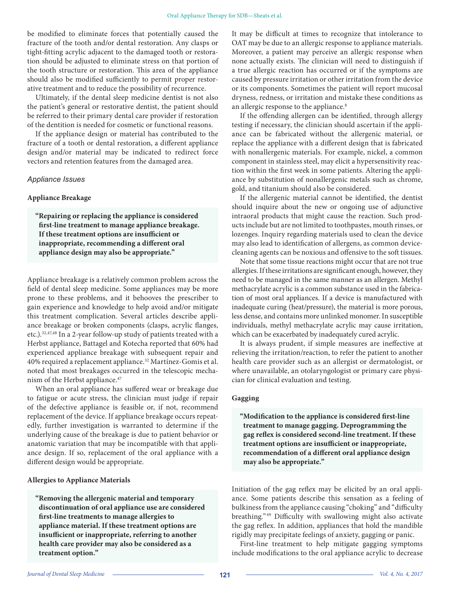be modified to eliminate forces that potentially caused the fracture of the tooth and/or dental restoration. Any clasps or tight-fitting acrylic adjacent to the damaged tooth or restoration should be adjusted to eliminate stress on that portion of the tooth structure or restoration. This area of the appliance should also be modified sufficiently to permit proper restorative treatment and to reduce the possibility of recurrence.

Ultimately, if the dental sleep medicine dentist is not also the patient's general or restorative dentist, the patient should be referred to their primary dental care provider if restoration of the dentition is needed for cosmetic or functional reasons.

If the appliance design or material has contributed to the fracture of a tooth or dental restoration, a different appliance design and/or material may be indicated to redirect force vectors and retention features from the damaged area.

## *Appliance Issues*

#### **Appliance Breakage**

**"Repairing or replacing the appliance is considered first-line treatment to manage appliance breakage. If these treatment options are insufficient or inappropriate, recommending a different oral appliance design may also be appropriate."**

Appliance breakage is a relatively common problem across the field of dental sleep medicine. Some appliances may be more prone to these problems, and it behooves the prescriber to gain experience and knowledge to help avoid and/or mitigate this treatment complication. Several articles describe appliance breakage or broken components (clasps, acrylic flanges, etc.).32,47,48 In a 2-year follow-up study of patients treated with a Herbst appliance, Battagel and Kotecha reported that 60% had experienced appliance breakage with subsequent repair and 40% required a replacement appliance.32 Martínez-Gomis et al. noted that most breakages occurred in the telescopic mechanism of the Herbst appliance.<sup>47</sup>

When an oral appliance has suffered wear or breakage due to fatigue or acute stress, the clinician must judge if repair of the defective appliance is feasible or, if not, recommend replacement of the device. If appliance breakage occurs repeatedly, further investigation is warranted to determine if the underlying cause of the breakage is due to patient behavior or anatomic variation that may be incompatible with that appliance design. If so, replacement of the oral appliance with a different design would be appropriate.

#### **Allergies to Appliance Materials**

**"Removing the allergenic material and temporary discontinuation of oral appliance use are considered first-line treatments to manage allergies to appliance material. If these treatment options are insufficient or inappropriate, referring to another health care provider may also be considered as a treatment option."**

It may be difficult at times to recognize that intolerance to OAT may be due to an allergic response to appliance materials. Moreover, a patient may perceive an allergic response when none actually exists. The clinician will need to distinguish if a true allergic reaction has occurred or if the symptoms are caused by pressure irritation or other irritation from the device or its components. Sometimes the patient will report mucosal dryness, redness, or irritation and mistake these conditions as an allergic response to the appliance.<sup>8</sup>

If the offending allergen can be identified, through allergy testing if necessary, the clinician should ascertain if the appliance can be fabricated without the allergenic material, or replace the appliance with a different design that is fabricated with nonallergenic materials. For example, nickel, a common component in stainless steel, may elicit a hypersensitivity reaction within the first week in some patients. Altering the appliance by substitution of nonallergenic metals such as chrome, gold, and titanium should also be considered.

If the allergenic material cannot be identified, the dentist should inquire about the new or ongoing use of adjunctive intraoral products that might cause the reaction. Such products include but are not limited to toothpastes, mouth rinses, or lozenges. Inquiry regarding materials used to clean the device may also lead to identification of allergens, as common devicecleaning agents can be noxious and offensive to the soft tissues.

Note that some tissue reactions might occur that are not true allergies. If these irritations are significant enough, however, they need to be managed in the same manner as an allergen. Methyl methacrylate acrylic is a common substance used in the fabrication of most oral appliances. If a device is manufactured with inadequate curing (heat/pressure), the material is more porous, less dense, and contains more unlinked monomer. In susceptible individuals, methyl methacrylate acrylic may cause irritation, which can be exacerbated by inadequately cured acrylic.

It is always prudent, if simple measures are ineffective at relieving the irritation/reaction, to refer the patient to another health care provider such as an allergist or dermatologist, or where unavailable, an otolaryngologist or primary care physician for clinical evaluation and testing.

# **Gagging**

**"Modification to the appliance is considered first-line treatment to manage gagging. Deprogramming the gag reflex is considered second-line treatment. If these treatment options are insufficient or inappropriate, recommendation of a different oral appliance design may also be appropriate."**

Initiation of the gag reflex may be elicited by an oral appliance. Some patients describe this sensation as a feeling of bulkiness from the appliance causing "choking" and "difficulty breathing." 49 Difficulty with swallowing might also activate the gag reflex. In addition, appliances that hold the mandible rigidly may precipitate feelings of anxiety, gagging or panic.

First-line treatment to help mitigate gagging symptoms include modifications to the oral appliance acrylic to decrease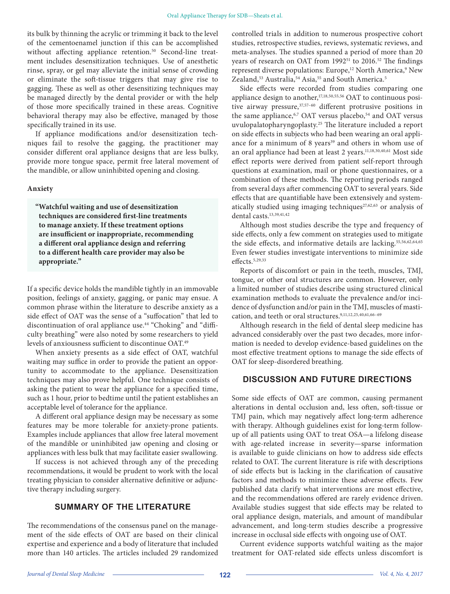its bulk by thinning the acrylic or trimming it back to the level of the cementoenamel junction if this can be accomplished without affecting appliance retention.<sup>50</sup> Second-line treatment includes desensitization techniques. Use of anesthetic rinse, spray, or gel may alleviate the initial sense of crowding or eliminate the soft-tissue triggers that may give rise to gagging. These as well as other desensitizing techniques may be managed directly by the dental provider or with the help of those more specifically trained in these areas. Cognitive behavioral therapy may also be effective, managed by those specifically trained in its use.

If appliance modifications and/or desensitization techniques fail to resolve the gagging, the practitioner may consider different oral appliance designs that are less bulky, provide more tongue space, permit free lateral movement of the mandible, or allow uninhibited opening and closing.

#### **Anxiety**

**"Watchful waiting and use of desensitization techniques are considered first-line treatments to manage anxiety. If these treatment options are insufficient or inappropriate, recommending a different oral appliance design and referring to a different health care provider may also be appropriate."**

If a specific device holds the mandible tightly in an immovable position, feelings of anxiety, gagging, or panic may ensue. A common phrase within the literature to describe anxiety as a side effect of OAT was the sense of a "suffocation" that led to discontinuation of oral appliance use.44 "Choking" and "difficulty breathing" were also noted by some researchers to yield levels of anxiousness sufficient to discontinue OAT.49

When anxiety presents as a side effect of OAT, watchful waiting may suffice in order to provide the patient an opportunity to accommodate to the appliance. Desensitization techniques may also prove helpful. One technique consists of asking the patient to wear the appliance for a specified time, such as 1 hour, prior to bedtime until the patient establishes an acceptable level of tolerance for the appliance.

A different oral appliance design may be necessary as some features may be more tolerable for anxiety-prone patients. Examples include appliances that allow free lateral movement of the mandible or uninhibited jaw opening and closing or appliances with less bulk that may facilitate easier swallowing.

If success is not achieved through any of the preceding recommendations, it would be prudent to work with the local treating physician to consider alternative definitive or adjunctive therapy including surgery.

# **SUMMARY OF THE LITERATURE**

The recommendations of the consensus panel on the management of the side effects of OAT are based on their clinical expertise and experience and a body of literature that included more than 140 articles. The articles included 29 randomized

controlled trials in addition to numerous prospective cohort studies, retrospective studies, reviews, systematic reviews, and meta-analyses. The studies spanned a period of more than 20 years of research on OAT from 1992<sup>51</sup> to 2016.<sup>52</sup> The findings represent diverse populations: Europe,<sup>12</sup> North America,<sup>9</sup> New Zealand,<sup>53</sup> Australia,<sup>54</sup> Asia,<sup>55</sup> and South America.<sup>5</sup>

Side effects were recorded from studies comparing one appliance design to another,<sup>17,18,50,55,56</sup> OAT to continuous positive airway pressure,<sup>37,57-60</sup> different protrusive positions in the same appliance,<sup>6,7</sup> OAT versus placebo,<sup>54</sup> and OAT versus uvulopalatopharyngoplasty.25 The literature included a report on side effects in subjects who had been wearing an oral appliance for a minimum of 8 years<sup>39</sup> and others in whom use of an oral appliance had been at least 2 years.11,18,30,40,61 Most side effect reports were derived from patient self-report through questions at examination, mail or phone questionnaires, or a combination of these methods. The reporting periods ranged from several days after commencing OAT to several years. Side effects that are quantifiable have been extensively and systematically studied using imaging techniques<sup>27,62,63</sup> or analysis of dental casts.<sup>13,39,41,42</sup>

Although most studies describe the type and frequency of side effects, only a few comment on strategies used to mitigate the side effects, and informative details are lacking.55,56,62,64,65 Even fewer studies investigate interventions to minimize side effects.5,29,33

Reports of discomfort or pain in the teeth, muscles, TMJ, tongue, or other oral structures are common. However, only a limited number of studies describe using structured clinical examination methods to evaluate the prevalence and/or incidence of dysfunction and/or pain in the TMJ, muscles of mastication, and teeth or oral structures.<sup>9,11,12,25,40,61,66-69</sup>

Although research in the field of dental sleep medicine has advanced considerably over the past two decades, more information is needed to develop evidence-based guidelines on the most effective treatment options to manage the side effects of OAT for sleep-disordered breathing.

# **DISCUSSION AND FUTURE DIRECTIONS**

Some side effects of OAT are common, causing permanent alterations in dental occlusion and, less often, soft-tissue or TMJ pain, which may negatively affect long-term adherence with therapy. Although guidelines exist for long-term followup of all patients using OAT to treat OSA—a lifelong disease with age-related increase in severity—sparse information is available to guide clinicians on how to address side effects related to OAT. The current literature is rife with descriptions of side effects but is lacking in the clarification of causative factors and methods to minimize these adverse effects. Few published data clarify what interventions are most effective, and the recommendations offered are rarely evidence driven. Available studies suggest that side effects may be related to oral appliance design, materials, and amount of mandibular advancement, and long-term studies describe a progressive increase in occlusal side effects with ongoing use of OAT.

Current evidence supports watchful waiting as the major treatment for OAT-related side effects unless discomfort is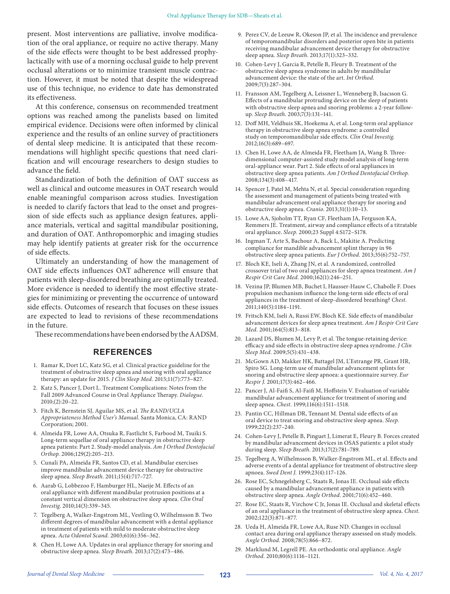present. Most interventions are palliative, involve modification of the oral appliance, or require no active therapy. Many of the side effects were thought to be best addressed prophylactically with use of a morning occlusal guide to help prevent occlusal alterations or to minimize transient muscle contraction. However, it must be noted that despite the widespread use of this technique, no evidence to date has demonstrated its effectiveness.

At this conference, consensus on recommended treatment options was reached among the panelists based on limited empirical evidence. Decisions were often informed by clinical experience and the results of an online survey of practitioners of dental sleep medicine. It is anticipated that these recommendations will highlight specific questions that need clarification and will encourage researchers to design studies to advance the field.

Standardization of both the definition of OAT success as well as clinical and outcome measures in OAT research would enable meaningful comparison across studies. Investigation is needed to clarify factors that lead to the onset and progression of side effects such as appliance design features, appliance materials, vertical and sagittal mandibular positioning, and duration of OAT. Anthropomorphic and imaging studies may help identify patients at greater risk for the occurrence of side effects.

Ultimately an understanding of how the management of OAT side effects influences OAT adherence will ensure that patients with sleep-disordered breathing are optimally treated. More evidence is needed to identify the most effective strategies for minimizing or preventing the occurrence of untoward side effects. Outcomes of research that focuses on these issues are expected to lead to revisions of these recommendations in the future.

These recommendations have been endorsed by the AADSM.

# **REFERENCES**

- 1. Ramar K, Dort LC, Katz SG, et al. Clinical practice guideline for the treatment of obstructive sleep apnea and snoring with oral appliance therapy: an update for 2015. *J Clin Sleep Med.* 2015;11(7):773–827.
- 2. Katz S, Pancer J, Dort L. Treatment Complications: Notes from the Fall 2009 Advanced Course in Oral Appliance Therapy. *Dialogue.* 2010;(2):20–22.
- 3. Fitch K, Bernstein SJ, Aguilar MS, et al. *The RAND/UCLA Appropriateness Method User's Manual*. Santa Monica, CA: RAND Corporation; 2001.
- 4. Almeida FR, Lowe AA, Otsuka R, Fastlicht S, Farbood M, Tsuiki S. Long-term sequellae of oral appliance therapy in obstructive sleep apnea patients: Part 2. Study-model analysis. *Am J Orthod Dentofacial Orthop.* 2006;129(2):205–213.
- 5. Cunali PA, Almeida FR, Santos CD, et al. Mandibular exercises improve mandibular advancement device therapy for obstructive sleep apnea. *Sleep Breath.* 2011;15(4):717–727.
- 6. Aarab G, Lobbezoo F, Hamburger HL, Naeije M. Effects of an oral appliance with different mandibular protrusion positions at a constant vertical dimension on obstructive sleep apnea. *Clin Oral Investig.* 2010;14(3):339–345.
- 7. Tegelberg A, Walker-Engstrom ML, Vestling O, Wilhelmsson B. Two different degrees of mandibular advancement with a dental appliance in treatment of patients with mild to moderate obstructive sleep apnea. *Acta Odontol Scand.* 2003;61(6):356–362.
- 8. Chen H, Lowe AA. Updates in oral appliance therapy for snoring and obstructive sleep apnea. *Sleep Breath.* 2013;17(2):473–486.
- 9. Perez CV, de Leeuw R, Okeson JP, et al. The incidence and prevalence of temporomandibular disorders and posterior open bite in patients receiving mandibular advancement device therapy for obstructive sleep apnea. *Sleep Breath.* 2013;17(1):323–332.
- 10. Cohen-Levy J, Garcia R, Petelle B, Fleury B. Treatment of the obstructive sleep apnea syndrome in adults by mandibular advancement device: the state of the art. *Int Orthod.* 2009;7(3):287–304.
- 11. Fransson AM, Tegelberg A, Leissner L, Wenneberg B, Isacsson G. Effects of a mandibular protruding device on the sleep of patients with obstructive sleep apnea and snoring problems: a 2-year followup. *Sleep Breath.* 2003;7(3):131–141.
- 12. Doff MH, Veldhuis SK, Hoekema A, et al. Long-term oral appliance therapy in obstructive sleep apnea syndrome: a controlled study on temporomandibular side effects. *Clin Oral Investig.* 2012;16(3):689–697.
- 13. Chen H, Lowe AA, de Almeida FR, Fleetham JA, Wang B. Threedimensional computer-assisted study model analysis of long-term oral-appliance wear. Part 2. Side effects of oral appliances in obstructive sleep apnea patients. *Am J Orthod Dentofacial Orthop.* 2008;134(3):408–417.
- 14. Spencer J, Patel M, Mehta N, et al. Special consideration regarding the assessment and management of patients being treated with mandibular advancement oral appliance therapy for snoring and obstructive sleep apnea. *Cranio.* 2013;31(1):10–13.
- 15. Lowe AA, Sjoholm TT, Ryan CF, Fleetham JA, Ferguson KA, Remmers JE. Treatment, airway and compliance effects of a titratable oral appliance. *Sleep.* 2000;23 Suppl 4:S172–S178.
- 16. Ingman T, Arte S, Bachour A, Back L, Makitie A. Predicting compliance for mandible advancement splint therapy in 96 obstructive sleep apnea patients. *Eur J Orthod.* 2013;35(6):752–757.
- 17. Bloch KE, Iseli A, Zhang JN, et al. A randomized, controlled crossover trial of two oral appliances for sleep apnea treatment. *Am J Respir Crit Care Med.* 2000;162(1):246–251.
- 18. Vezina JP, Blumen MB, Buchet I, Hausser-Hauw C, Chabolle F. Does propulsion mechanism influence the long-term side effects of oral appliances in the treatment of sleep-disordered breathing? *Chest.* 2011;140(5):1184–1191.
- 19. Fritsch KM, Iseli A, Russi EW, Bloch KE. Side effects of mandibular advancement devices for sleep apnea treatment. *Am J Respir Crit Care Med.* 2001;164(5):813–818.
- 20. Lazard DS, Blumen M, Levy P, et al. The tongue-retaining device: efficacy and side effects in obstructive sleep apnea syndrome. *J Clin Sleep Med.* 2009;5(5):431–438.
- 21. McGown AD, Makker HK, Battagel JM, L'Estrange PR, Grant HR, Spiro SG. Long-term use of mandibular advancement splints for snoring and obstructive sleep apnoea: a questionnaire survey. *Eur Respir J.* 2001;17(3):462–466.
- 22. Pancer J, Al-Faifi S, Al-Faifi M, Hoffstein V. Evaluation of variable mandibular advancement appliance for treatment of snoring and sleep apnea. *Chest.* 1999;116(6):1511–1518.
- 23. Pantin CC, Hillman DR, Tennant M. Dental side effects of an oral device to treat snoring and obstructive sleep apnea. *Sleep.* 1999;22(2):237–240.
- 24. Cohen-Levy J, Petelle B, Pinguet J, Limerat E, Fleury B. Forces created by mandibular advancement devices in OSAS patients: a pilot study during sleep. *Sleep Breath.* 2013;17(2):781–789.
- 25. Tegelberg A, Wilhelmsson B, Walker-Engstrom ML, et al. Effects and adverse events of a dental appliance for treatment of obstructive sleep apnoea. *Swed Dent J.* 1999;23(4):117–126.
- 26. Rose EC, Schnegelsberg C, Staats R, Jonas IE. Occlusal side effects caused by a mandibular advancement appliance in patients with obstructive sleep apnea. *Angle Orthod.* 2001;71(6):452–460.
- 27. Rose EC, Staats R, Virchow C Jr, Jonas IE. Occlusal and skeletal effects of an oral appliance in the treatment of obstructive sleep apnea. *Chest.* 2002;122(3):871–877.
- 28. Ueda H, Almeida FR, Lowe AA, Ruse ND. Changes in occlusal contact area during oral appliance therapy assessed on study models. *Angle Orthod.* 2008;78(5):866–872.
- 29. Marklund M, Legrell PE. An orthodontic oral appliance. *Angle Orthod.* 2010;80(6):1116–1121.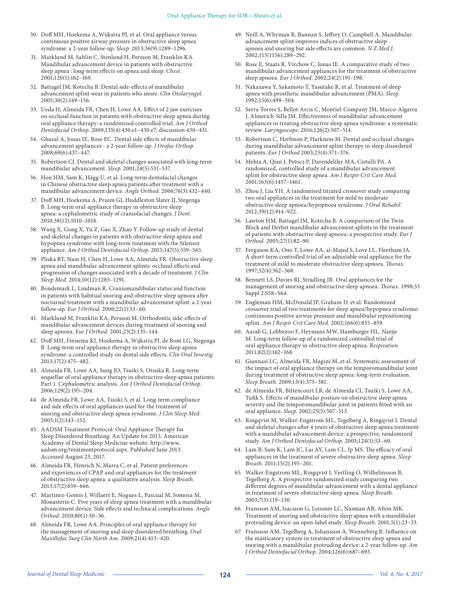- 30. Doff MH, Hoekema A, Wijkstra PJ, et al. Oral appliance versus continuous positive airway pressure in obstructive sleep apnea syndrome: a 2-year follow-up. *Sleep.* 2013;36(9):1289–1296.
- 31. Marklund M, Sahlin C, Stenlund H, Persson M, Franklin KA. Mandibular advancement device in patients with obstructive sleep apnea : long-term effects on apnea and sleep. *Chest.* 2001;120(1):162–169.
- 32. Battagel JM, Kotecha B. Dental side-effects of mandibular advancement splint wear in patients who snore. *Clin Otolaryngol.* 2005;30(2):149–156.
- 33. Ueda H, Almeida FR, Chen H, Lowe AA. Effect of 2 jaw exercises on occlusal function in patients with obstructive sleep apnea during oral appliance therapy: a randomized controlled trial. *Am J Orthod Dentofacial Orthop.* 2009;135(4):430.e1–430.e7; discussion 430–431.
- 34. Ghazal A, Jonas IE, Rose EC. Dental side effects of mandibular advancement appliances - a 2-year follow-up. *J Orofac Orthop.* 2008;69(6):437–447.
- 35. Robertson CJ. Dental and skeletal changes associated with long-term mandibular advancement. *Sleep.* 2001;24(5):531–537.
- 36. Hou HM, Sam K, Hägg U, et al. Long-term dentofacial changes in Chinese obstructive sleep apnea patients after treatment with a mandibular advancement device. *Angle Orthod.* 2006;76(3):432–440.
- 37. Doff MH, Hoekema A, Pruim GJ, Huddleston Slater JJ, Stegenga B. Long-term oral-appliance therapy in obstructive sleep apnea: a cephalometric study of craniofacial changes. *J Dent.* 2010;38(12):1010–1018.
- 38. Wang X, Gong X, Yu Z, Gao X, Zhao Y. Follow-up study of dental and skeletal changes in patients with obstructive sleep apnea and hypopnea syndrome with long-term treatment with the Silensor appliance. *Am J Orthod Dentofacial Orthop.* 2015;147(5):559–565.
- 39. Pliska BT, Nam H, Chen H, Lowe AA, Almeida FR. Obstructive sleep apnea and mandibular advancement splints: occlusal effects and progression of changes associated with a decade of treatment. *J Clin Sleep Med.* 2014;10(12):1285–1291.
- 40. Bondemark L, Lindman R. Craniomandibular status and function in patients with habitual snoring and obstructive sleep apnoea after nocturnal treatment with a mandibular advancement splint: a 2-year follow-up. *Eur J Orthod.* 2000;22(1):53–60.
- 41. Marklund M, Franklin KA, Persson M. Orthodontic side-effects of mandibular advancement devices during treatment of snoring and sleep apnoea. *Eur J Orthod.* 2001;23(2):135–144.
- 42. Doff MH, Finnema KJ, Hoekema A, Wijkstra PJ, de Bont LG, Stegenga B. Long-term oral appliance therapy in obstructive sleep apnea syndrome: a controlled study on dental side effects. *Clin Oral Investig.* 2013;17(2):475–482.
- 43. Almeida FR, Lowe AA, Sung JO, Tsuiki S, Otsuka R. Long-term sequellae of oral appliance therapy in obstructive sleep apnea patients: Part 1. Cephalometric analysis. *Am J Orthod Dentofacial Orthop.* 2006;129(2):195–204.
- 44. de Almeida FR, Lowe AA, Tsuiki S, et al. Long-term compliance and side effects of oral appliances used for the treatment of snoring and obstructive sleep apnea syndrome. *J Clin Sleep Med.* 2005;1(2):143–152.
- 45. AADSM Treatment Protocol: Oral Appliance Therapy for Sleep Disordered Breathing: An Update for 2013. American Academy of Dental Sleep Medicine website. http://www. aadsm.org/treatmentprotocol.aspx. Published June 2013. Accessed August 23, 2017.
- 46. Almeida FR, Henrich N, Marra C, et al. Patient preferences and experiences of CPAP and oral appliances for the treatment of obstructive sleep apnea: a qualitative analysis. *Sleep Breath.* 2013;17(2):659–666.
- 47. Martinez-Gomis J, Willaert E, Nogues L, Pascual M, Somoza M, Monasterio C. Five years of sleep apnea treatment with a mandibular advancement device. Side effects and technical complications. *Angle Orthod.* 2010;80(1):30–36.
- 48. Almeida FR, Lowe AA. Principles of oral appliance therapy for the management of snoring and sleep disordered breathing. *Oral Maxillofac Surg Clin North Am.* 2009;21(4):413–420.
- 49. Neill A, Whyman R, Bannan S, Jeffrey O, Campbell A. Mandibular advancement splint improves indices of obstructive sleep apnoea and snoring but side effects are common. *N Z Med J.* 2002;115(1156):289–292.
- 50. Rose E, Staats R, Virchow C, Jonas IE. A comparative study of two mandibular advancement appliances for the treatment of obstructive sleep apnoea. *Eur J Orthod.* 2002;24(2):191–198.
- 51. Nakazawa Y, Sakamoto T, Yasutake R, et al. Treatment of sleep apnea with prosthetic mandibular advancement (PMA). *Sleep.* 1992;15(6):499–504.
- 52. Serra-Torres S, Bellot-Arcis C, Montiel-Company JM, Marco-Algarra J, Almerich-Silla JM. Effectiveness of mandibular advancement appliances in treating obstructive sleep apnea syndrome: a systematic review. *Laryngoscope.* 2016;126(2):507–514.
- 53. Robertson C, Herbison P, Harkness M. Dental and occlusal changes during mandibular advancement splint therapy in sleep disordered patients. *Eur J Orthod* 2003;25(4):371–376.
- 54. Mehta A, Qian J, Petocz P, Darendeliler MA, Cistulli PA. A randomized, controlled study of a mandibular advancement splint for obstructive sleep apnea. *Am J Respir Crit Care Med.* 2001;163(6):1457–1461.
- 55. Zhou J, Liu YH. A randomised titrated crossover study comparing two oral appliances in the treatment for mild to moderate obstructive sleep apnoea/hypopnoea syndrome. *J Oral Rehabil.* 2012;39(12):914–922.
- 56. Lawton HM, Battagel JM, Kotecha B. A comparison of the Twin Block and Herbst mandibular advancement splints in the treatment of patients with obstructive sleep apnoea: a prospective study. *Eur J Orthod.* 2005;27(1):82–90.
- 57. Ferguson KA, Ono T, Lowe AA, al-Majed S, Love LL, Fleetham JA. A short-term controlled trial of an adjustable oral appliance for the treatment of mild to moderate obstructive sleep apnoea. *Thorax.* 1997;52(4):362–368.
- 58. Bennett LS, Davies RJ, Stradling JR. Oral appliances for the management of snoring and obstructive sleep apnoea. *Thorax.* 1998;53 Suppl 2:S58–S64.
- 59. Engleman HM, McDonald JP, Graham D, et al. Randomized crossover trial of two treatments for sleep apnea/hypopnea syndrome: continuous positive airway pressure and mandibular repositioning splint. *Am J Respir Crit Care Med.* 2002;166(6):855–859.
- 60. Aarab G, Lobbezoo F, Heymans MW, Hamburger HL, Naeije M. Long-term follow-up of a randomized controlled trial of oral appliance therapy in obstructive sleep apnea. *Respiration.* 2011;82(2):162–168.
- 61. Giannasi LC, Almeida FR, Magini M, et al. Systematic assessment of the impact of oral appliance therapy on the temporomandibular joint during treatment of obstructive sleep apnea: long-term evaluation. *Sleep Breath.* 2009;13(4):375–381.
- 62. de Almeida FR, Bittencourt LR, de Almeida CI, Tsuiki S, Lowe AA, Tufik S. Effects of mandibular posture on obstructive sleep apnea severity and the temporomandibular joint in patients fitted with an oral appliance. *Sleep.* 2002;25(5):507–513.
- 63. Ringqvist M, Walker-Engstrom ML, Tegelberg A, Ringqvist I. Dental and skeletal changes after 4 years of obstructive sleep apnea treatment with a mandibular advancement device: a prospective, randomized study. *Am J Orthod Dentofacial Orthop.* 2003;124(1):53–60.
- 64. Lam B, Sam K, Lam JC, Lai AY, Lam CL, Ip MS. The efficacy of oral appliances in the treatment of severe obstructive sleep apnea. *Sleep Breath.* 2011;15(2):195–201.
- 65. Walker-Engstrom ML, Ringqvist I, Vestling O, Wilhelmsson B, Tegelberg A. A prospective randomized study comparing two different degrees of mandibular advancement with a dental appliance in treatment of severe obstructive sleep apnea. *Sleep Breath.* 2003;7(3):119–130.
- 66. Fransson AM, Isacsson G, Leissner LC, Näsman AB, Alton MK. Treatment of snoring and obstructive sleep apnea with a mandibular protruding device: an open-label study. *Sleep Breath.* 2001;5(1):23–33.
- 67. Fransson AM, Tegelberg A, Johansson A, Wenneberg B. Influence on the masticatory system in treatment of obstructive sleep apnea and snoring with a mandibular protruding device: a 2-year follow-up. *Am J Orthod Dentofacial Orthop.* 2004;126(6):687–693.